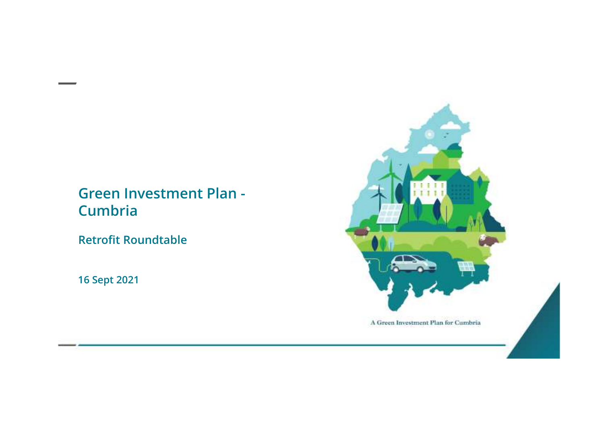#### **Green Investment Plan -Cumbria**

**Retrofit Roundtable** 

**16 Sept 2021**

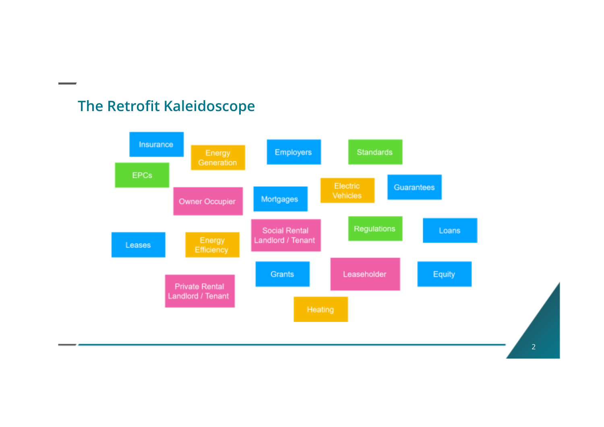## **The Retrofit Kaleidoscope**

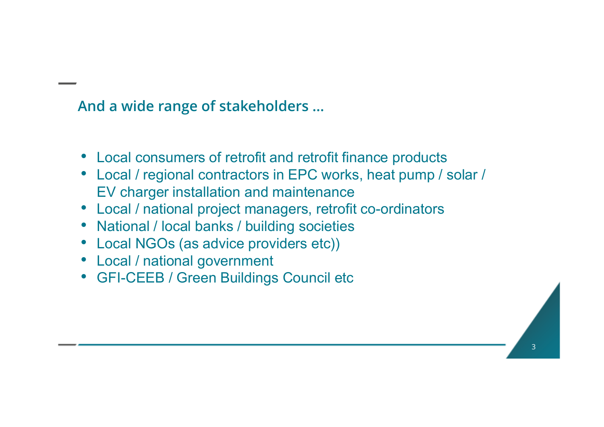## **And a wide range of stakeholders …**

- Local consumers of retrofit and retrofit finance products
- Local / regional contractors in EPC works, heat pump / solar / EV charger installation and maintenance
- Local / national project managers, retrofit co-ordinators
- National / local banks / building societies
- Local NGOs (as advice providers etc))
- Local / national government
- GFI-CEEB / Green Buildings Council etc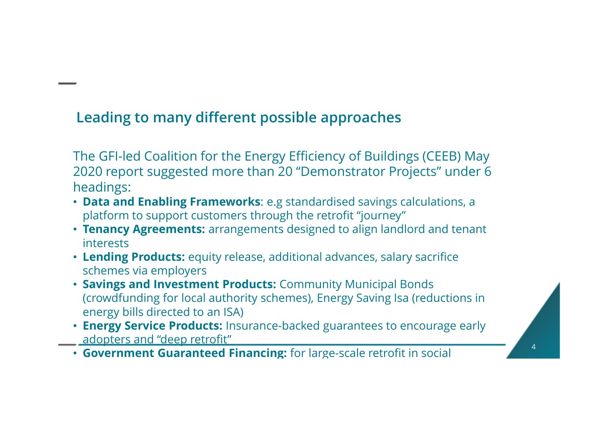# **Leading to many different possible approaches**

The GFI-led Coalition for the Energy Efficiency of Buildings (CEEB) May 2020 report suggested more than 20 "Demonstrator Projects" under 6 headings:

- **Data and Enabling Frameworks**: e.g standardised savings calculations, a platform to support customers through the retrofit "journey"
- **Tenancy Agreements:** arrangements designed to align landlord and tenant interests
- **Lending Products:** equity release, additional advances, salary sacrifice schemes via employers
- **Savings and Investment Products:** Community Municipal Bonds (crowdfunding for local authority schemes), Energy Saving Isa (reductions in energy bills directed to an ISA)
- **Energy Service Products:** Insurance-backed guarantees to encourage early adopters and "deep retrofit"
- **Government Guaranteed Financing:** for large-scale retrofit in social